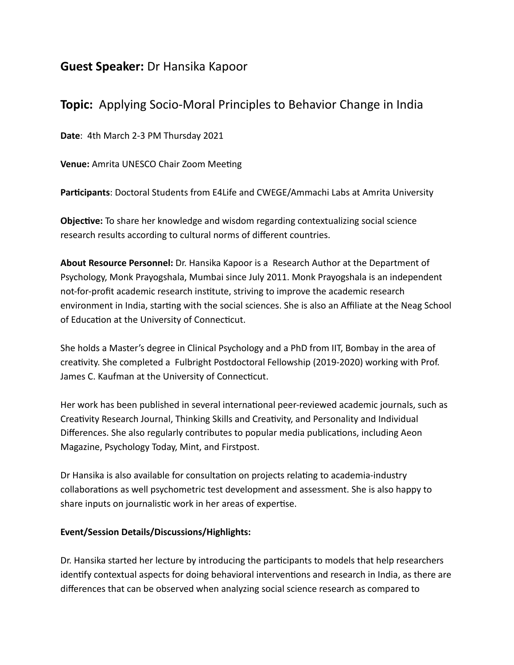## **Guest Speaker:** Dr Hansika Kapoor

# **Topic:** Applying Socio-Moral Principles to Behavior Change in India

**Date**: 4th March 2-3 PM Thursday 2021

**Venue:** Amrita UNESCO Chair Zoom Meeting

Participants: Doctoral Students from E4Life and CWEGE/Ammachi Labs at Amrita University

**Objective:** To share her knowledge and wisdom regarding contextualizing social science research results according to cultural norms of different countries.

**About Resource Personnel:** Dr. Hansika Kapoor is a Research Author at the Department of Psychology, Monk Prayogshala, Mumbai since July 2011. Monk Prayogshala is an independent not-for-profit academic research institute, striving to improve the academic research environment in India, starting with the social sciences. She is also an Affiliate at the Neag School of Education at the University of Connecticut.

She holds a Master's degree in Clinical Psychology and a PhD from IIT, Bombay in the area of creativity. She completed a Fulbright Postdoctoral Fellowship (2019-2020) working with Prof. James C. Kaufman at the University of Connecticut.

Her work has been published in several international peer-reviewed academic journals, such as Creativity Research Journal, Thinking Skills and Creativity, and Personality and Individual Differences. She also regularly contributes to popular media publications, including Aeon Magazine, Psychology Today, Mint, and Firstpost.

Dr Hansika is also available for consultation on projects relating to academia-industry collaborations as well psychometric test development and assessment. She is also happy to share inputs on journalistic work in her areas of expertise.

### **Event/Session Details/Discussions/Highlights:**

Dr. Hansika started her lecture by introducing the participants to models that help researchers identify contextual aspects for doing behavioral interventions and research in India, as there are differences that can be observed when analyzing social science research as compared to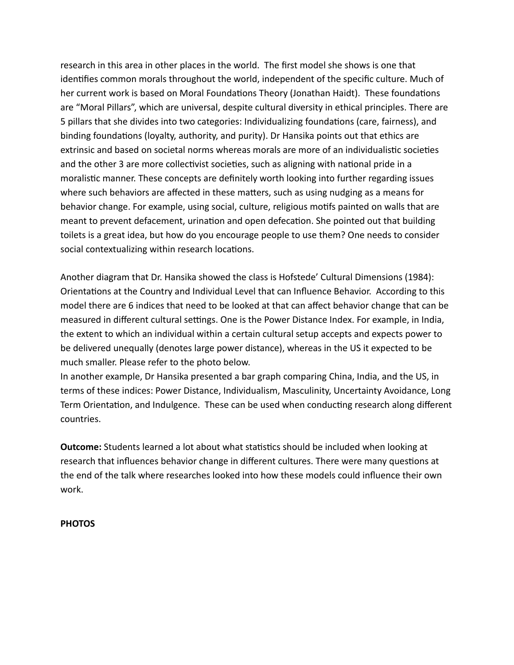research in this area in other places in the world. The first model she shows is one that identifies common morals throughout the world, independent of the specific culture. Much of her current work is based on Moral Foundations Theory (Jonathan Haidt). These foundations are "Moral Pillars", which are universal, despite cultural diversity in ethical principles. There are 5 pillars that she divides into two categories: Individualizing foundations (care, fairness), and binding foundations (loyalty, authority, and purity). Dr Hansika points out that ethics are extrinsic and based on societal norms whereas morals are more of an individualistic societies and the other 3 are more collectivist societies, such as aligning with national pride in a moralistic manner. These concepts are definitely worth looking into further regarding issues where such behaviors are affected in these matters, such as using nudging as a means for behavior change. For example, using social, culture, religious motifs painted on walls that are meant to prevent defacement, urination and open defecation. She pointed out that building toilets is a great idea, but how do you encourage people to use them? One needs to consider social contextualizing within research locations.

Another diagram that Dr. Hansika showed the class is Hofstede' Cultural Dimensions (1984): Orientations at the Country and Individual Level that can Influence Behavior. According to this model there are 6 indices that need to be looked at that can affect behavior change that can be measured in different cultural settings. One is the Power Distance Index. For example, in India, the extent to which an individual within a certain cultural setup accepts and expects power to be delivered unequally (denotes large power distance), whereas in the US it expected to be much smaller. Please refer to the photo below.

In another example, Dr Hansika presented a bar graph comparing China, India, and the US, in terms of these indices: Power Distance, Individualism, Masculinity, Uncertainty Avoidance, Long Term Orientation, and Indulgence. These can be used when conducting research along different countries.

**Outcome:** Students learned a lot about what statistics should be included when looking at research that influences behavior change in different cultures. There were many questions at the end of the talk where researches looked into how these models could influence their own work.

#### **PHOTOS**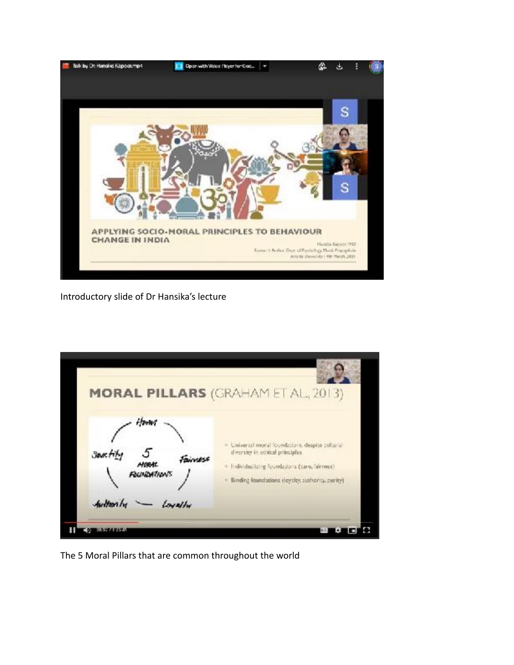

Introductory slide of Dr Hansika's lecture

| Horny                                                    | <b>MORAL PILLARS (GRAHAM ET AL, 2013)</b>                                                                                                                                                  |
|----------------------------------------------------------|--------------------------------------------------------------------------------------------------------------------------------------------------------------------------------------------|
| <b>Seart</b><br>Fairyess<br>MORAL<br><b>FOUNDATION'S</b> | · Universal moral foundations, despite cultural<br>diversity in ethical principles.<br>= Individualizing foundations (care, fairmeas)<br>- Binding foundations (loyalty, authoria, purity) |
| Austron by<br>Loughy                                     |                                                                                                                                                                                            |

The 5 Moral Pillars that are common throughout the world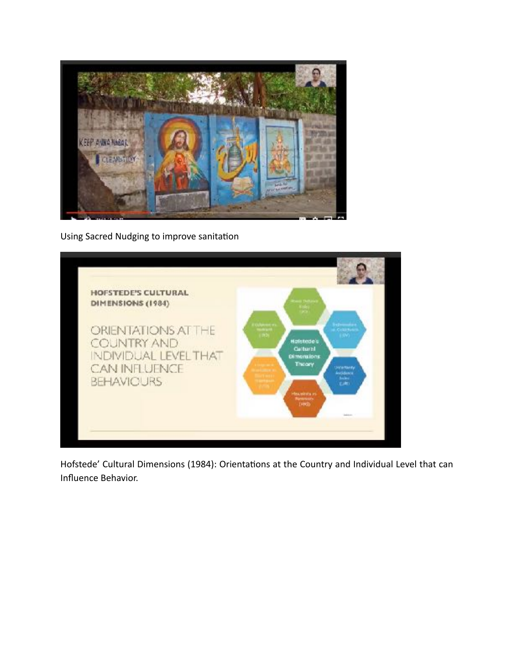

Using Sacred Nudging to improve sanitation



Hofstede' Cultural Dimensions (1984): Orientations at the Country and Individual Level that can Influence Behavior.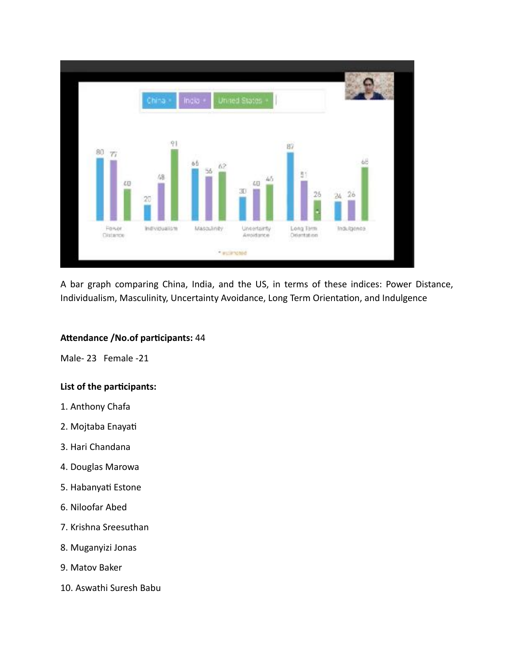

A bar graph comparing China, India, and the US, in terms of these indices: Power Distance, Individualism, Masculinity, Uncertainty Avoidance, Long Term Orientation, and Indulgence

#### Attendance /No.of participants: 44

Male- 23 Female -21

#### List of the participants:

- 1. Anthony Chafa
- 2. Mojtaba Enayati
- 3. Hari Chandana
- 4. Douglas Marowa
- 5. Habanyati Estone
- 6. Niloofar Abed
- 7. Krishna Sreesuthan
- 8. Muganyizi Jonas
- 9. Matov Baker
- 10. Aswathi Suresh Babu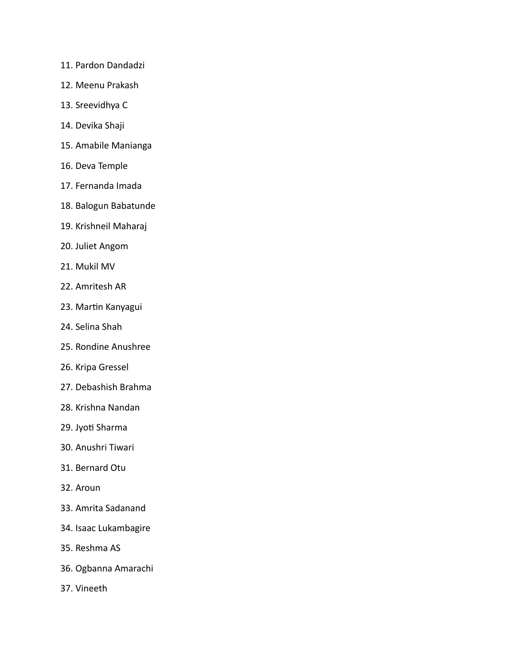- 11. Pardon Dandadzi
- 12. Meenu Prakash
- 13. Sreevidhya C
- 14. Devika Shaji
- 15. Amabile Manianga
- 16. Deva Temple
- 17. Fernanda Imada
- 18. Balogun Babatunde
- 19. Krishneil Maharaj
- 20. Juliet Angom
- 21. Mukil MV
- 22. Amritesh AR
- 23. Martin Kanyagui
- 24. Selina Shah
- 25. Rondine Anushree
- 26. Kripa Gressel
- 27. Debashish Brahma
- 28. Krishna Nandan
- 29. Jyoti Sharma
- 30. Anushri Tiwari
- 31. Bernard Otu
- 32. Aroun
- 33. Amrita Sadanand
- 34. Isaac Lukambagire
- 35. Reshma AS
- 36. Ogbanna Amarachi
- 37. Vineeth